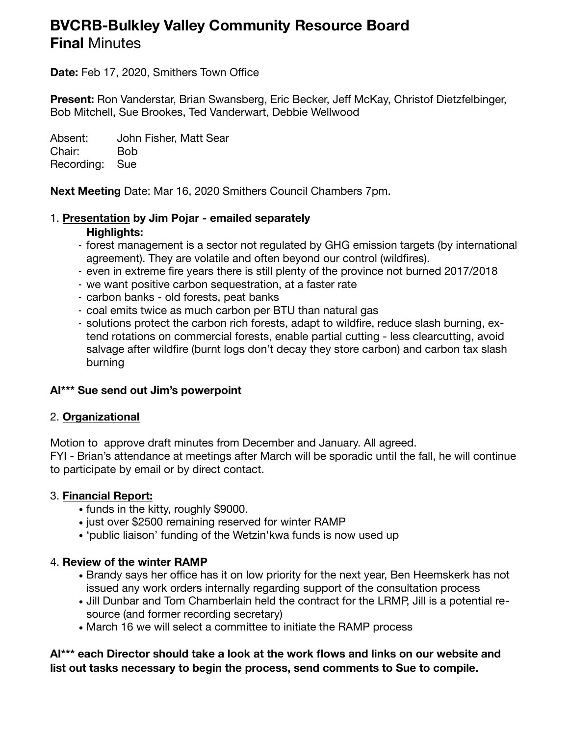# **BVCRB-Bulkley Valley Community Resource Board Final** Minutes

**Date:** Feb 17, 2020, Smithers Town Office

**Present:** Ron Vanderstar, Brian Swansberg, Eric Becker, Jeff McKay, Christof Dietzfelbinger, Bob Mitchell, Sue Brookes, Ted Vanderwart, Debbie Wellwood

Absent: John Fisher, Matt Sear Chair: Bob Recording: Sue

**Next Meeting** Date: Mar 16, 2020 Smithers Council Chambers 7pm.

# 1. **Presentation by Jim Pojar - emailed separately**

# **Highlights:**

- forest management is a sector not regulated by GHG emission targets (by international agreement). They are volatile and often beyond our control (wildfires).
- even in extreme fire years there is still plenty of the province not burned 2017/2018
- we want positive carbon sequestration, at a faster rate
- carbon banks old forests, peat banks
- coal emits twice as much carbon per BTU than natural gas
- solutions protect the carbon rich forests, adapt to wildfire, reduce slash burning, extend rotations on commercial forests, enable partial cutting - less clearcutting, avoid salvage after wildfire (burnt logs don't decay they store carbon) and carbon tax slash burning

# **AI\*\*\* Sue send out Jim's powerpoint**

# 2. **Organizational**

Motion to approve draft minutes from December and January. All agreed.

FYI - Brian's attendance at meetings after March will be sporadic until the fall, he will continue to participate by email or by direct contact.

# 3. **Financial Report:**

- funds in the kitty, roughly \$9000.
- just over \$2500 remaining reserved for winter RAMP
- 'public liaison' funding of the Wetzin'kwa funds is now used up

# 4. **Review of the winter RAMP**

- Brandy says her office has it on low priority for the next year, Ben Heemskerk has not issued any work orders internally regarding support of the consultation process
- Jill Dunbar and Tom Chamberlain held the contract for the LRMP, Jill is a potential resource (and former recording secretary)
- March 16 we will select a committee to initiate the RAMP process

#### **AI\*\*\* each Director should take a look at the work flows and links on our website and list out tasks necessary to begin the process, send comments to Sue to compile.**